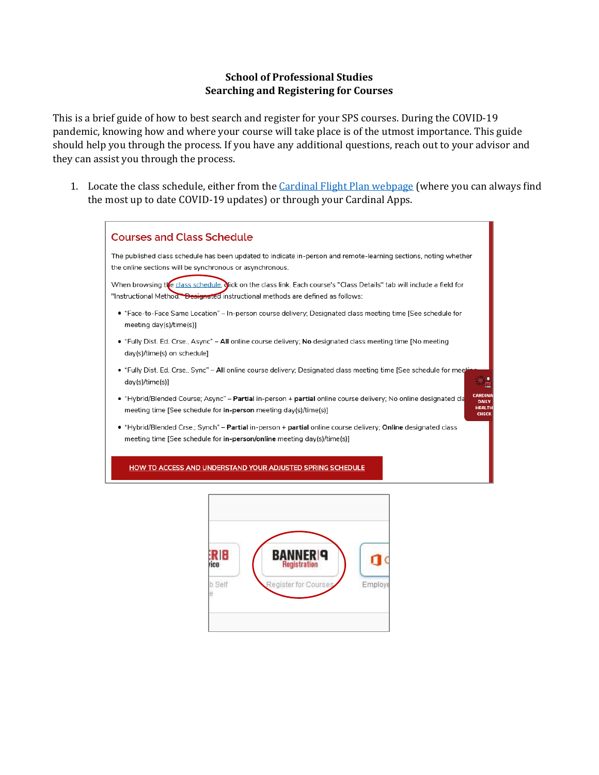## **School of Professional Studies Searching and Registering for Courses**

This is a brief guide of how to best search and register for your SPS courses. During the COVID-19 pandemic, knowing how and where your course will take place is of the utmost importance. This guide should help you through the process. If you have any additional questions, reach out to your advisor and they can assist you through the process.

1. Locate the class schedule, either from the *Cardinal Flight Plan webpage* (where you can always find the most up to date COVID-19 updates) or through your Cardinal Apps.

| <b>Courses and Class Schedule</b>                                                                                                                                                                                 |
|-------------------------------------------------------------------------------------------------------------------------------------------------------------------------------------------------------------------|
| The published class schedule has been updated to indicate in-person and remote-learning sections, noting whether<br>the online sections will be synchronous or asynchronous.                                      |
| When browsing the class schedule, dick on the class link. Each course's "Class Details" tab will include a field for<br>"Instructional Method." Designated instructional methods are defined as follows:          |
| • "Face-to-Face Same Location" – In-person course delivery: Designated class meeting time [See schedule for<br>meeting day(s)/time(s)]                                                                            |
| • "Fully Dist. Ed. Crse., Async" – All online course delivery: No designated class meeting time [No meeting<br>day(s)/time(s) on schedule]                                                                        |
| • "Fully Dist. Ed. Crse., Sync" – All online course delivery; Designated class meeting time [See schedule for meet<br>day(s)/time(s)]                                                                             |
| • "Hybrid/Blended Course; Async" – <b>Partial</b> in-person + <b>partial</b> online course delivery; No online designated cla<br>meeting time [See schedule for in-person meeting day(s)/time(s)]<br><b>CHECK</b> |
| • "Hybrid/Blended Crse.; Synch" – Partial in-person + partial online course delivery; Online designated class<br>meeting time [See schedule for in-person/online meeting day(s)/time(s)]                          |
| HOW TO ACCESS AND UNDERSTAND YOUR ADJUSTED SPRING SCHEDULE                                                                                                                                                        |

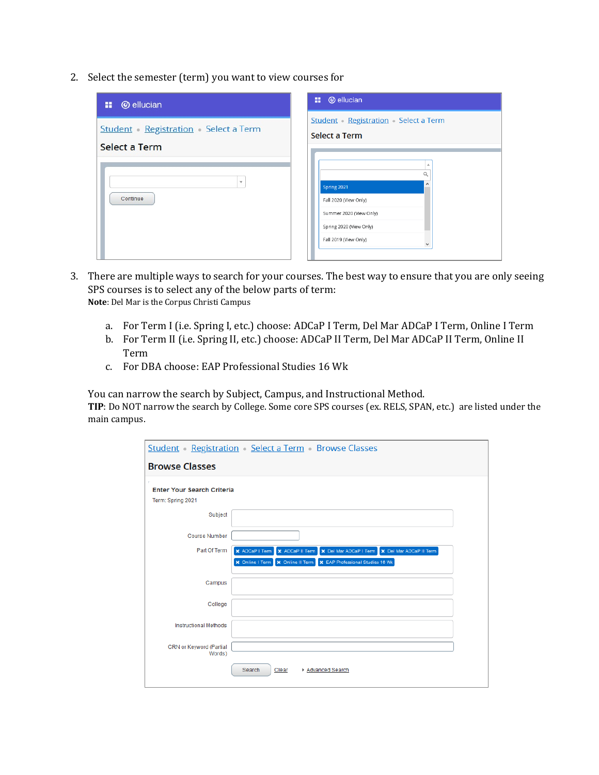2. Select the semester (term) you want to view courses for

| <b>@</b> ellucian<br>н.                                    | <b>::</b> @ ellucian                                                                                                                                      |
|------------------------------------------------------------|-----------------------------------------------------------------------------------------------------------------------------------------------------------|
| <b>Student</b> Registration Select a Term<br>Select a Term | <b>Student Registration</b> Select a Term<br>Select a Term                                                                                                |
| $\overline{\mathbf{v}}$<br>Continue                        | A<br>Q<br>$\hat{\phantom{a}}$<br>Spring 2021<br>Fall 2020 (View Only)<br>Summer 2020 (View Only)<br>Spring 2020 (View Only)<br>Fall 2019 (View Only)<br>٧ |

- 3. There are multiple ways to search for your courses. The best way to ensure that you are only seeing SPS courses is to select any of the below parts of term: **Note**: Del Mar is the Corpus Christi Campus
	- a. For Term I (i.e. Spring I, etc.) choose: ADCaP I Term, Del Mar ADCaP I Term, Online I Term
	- b. For Term II (i.e. Spring II, etc.) choose: ADCaP II Term, Del Mar ADCaP II Term, Online II Term
	- c. For DBA choose: EAP Professional Studies 16 Wk

You can narrow the search by Subject, Campus, and Instructional Method.

**TIP**: Do NOT narrow the search by College. Some core SPS courses (ex. RELS, SPAN, etc.) are listed under the main campus.

|                                   | <b>Student</b> Registration Select a Term Browse Classes                                                                                                                     |
|-----------------------------------|------------------------------------------------------------------------------------------------------------------------------------------------------------------------------|
| <b>Browse Classes</b>             |                                                                                                                                                                              |
| <b>Enter Your Search Criteria</b> |                                                                                                                                                                              |
| Term: Spring 2021                 |                                                                                                                                                                              |
| Subject                           |                                                                                                                                                                              |
| <b>Course Number</b>              |                                                                                                                                                                              |
| Part Of Term                      | X ADCaP I Term<br><b>X</b> ADCaP II Term<br>X Del Mar ADCaP I Term X Del Mar ADCaP II Term<br><b>*</b> EAP Professional Studies 16 Wk<br>X Online I Term<br>X Online II Term |
| Campus                            |                                                                                                                                                                              |
| College                           |                                                                                                                                                                              |
| <b>Instructional Methods</b>      |                                                                                                                                                                              |
| CRN or Keyword (Partial<br>Words) |                                                                                                                                                                              |
|                                   | Search<br>Clear<br>▶ Advanced Search                                                                                                                                         |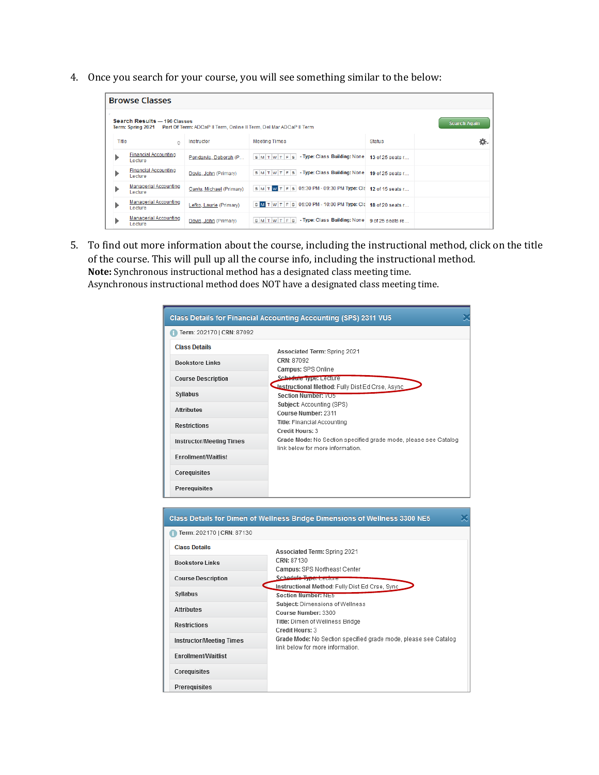4. Once you search for your course, you will see something similar to the below:

| <b>Browse Classes</b> |                                         |                          |                                                                                                                 |                  |                     |  |  |  |
|-----------------------|-----------------------------------------|--------------------------|-----------------------------------------------------------------------------------------------------------------|------------------|---------------------|--|--|--|
|                       | <b>Search Results - 196 Classes</b>     |                          | Term: Spring 2021 Part Of Term: ADCaP II Term, Online II Term, Del Mar ADCaP II Term                            |                  | <b>Search Again</b> |  |  |  |
| Title                 | Ő.                                      | Instructor               | <b>Meeting Times</b>                                                                                            | <b>Status</b>    | ☆.                  |  |  |  |
|                       | <b>Financial Accounting</b><br>I ecture | Pendarvis, Deborah (P    | $ s $ M $ t $ W $ t $ F $ s $ - <b>Type:</b> Class <b>Building:</b> None                                        | 13 of 25 seats r |                     |  |  |  |
| ▶                     | <b>Financial Accounting</b><br>Lecture  | Davis, John (Primary)    | SMTWTFS-Type: Class Building: None                                                                              | 19 of 25 seats r |                     |  |  |  |
|                       | <b>Managerial Accounting</b><br>Lecture | Cantu, Michael (Primary) | SM T W T F S 05:30 PM - 09:30 PM Type: Cla 12 of 15 seats r                                                     |                  |                     |  |  |  |
|                       | <b>Managerial Accounting</b><br>Lecture | Lefko, Laurie (Primary)  | S M T W T F S 06:00 PM - 10:00 PM Type: Cla 18 of 20 seats r                                                    |                  |                     |  |  |  |
|                       | Managerial Accounting<br>Lecture        | Davis, John (Primary)    | $\vert$ s $\vert$ M $\vert$ T $\vert$ $\vert$ F $\vert$ s $\vert$ - Type: Class Building: None 9 of 25 seats re |                  |                     |  |  |  |

5. To find out more information about the course, including the instructional method, click on the title of the course. This will pull up all the course info, including the instructional method. **Note:** Synchronous instructional method has a designated class meeting time. Asynchronous instructional method does NOT have a designated class meeting time.

| Associated Term: Spring 2021<br>CRN: 87092<br>Campus: SPS Online<br>Schedule Type: Lecture<br>Instructional Method: Fully Dist Ed Crse, Async |  |  |  |  |
|-----------------------------------------------------------------------------------------------------------------------------------------------|--|--|--|--|
|                                                                                                                                               |  |  |  |  |
|                                                                                                                                               |  |  |  |  |
|                                                                                                                                               |  |  |  |  |
|                                                                                                                                               |  |  |  |  |
| Section Number: VU5                                                                                                                           |  |  |  |  |
| Subject: Accounting (SPS)<br>Course Number: 2311                                                                                              |  |  |  |  |
| Title: Financial Accounting<br>Credit Hours: 3                                                                                                |  |  |  |  |
| Grade Mode: No Section specified grade mode, please see Catalog<br>link below for more information                                            |  |  |  |  |
|                                                                                                                                               |  |  |  |  |
|                                                                                                                                               |  |  |  |  |
|                                                                                                                                               |  |  |  |  |
|                                                                                                                                               |  |  |  |  |

| Class Details for Dimen of Wellness Bridge Dimensions of Wellness 3300 NE5 |                                                                                                     |  |  |  |  |  |  |
|----------------------------------------------------------------------------|-----------------------------------------------------------------------------------------------------|--|--|--|--|--|--|
| Term: 202170   CRN: 87130                                                  |                                                                                                     |  |  |  |  |  |  |
| <b>Class Details</b>                                                       | Associated Term: Spring 2021                                                                        |  |  |  |  |  |  |
| <b>Bookstore Links</b>                                                     | CRN: 87130<br>Campus: SPS Northeast Center                                                          |  |  |  |  |  |  |
| <b>Course Description</b>                                                  | Schedule Type: Lecture                                                                              |  |  |  |  |  |  |
| Syllabus                                                                   | Instructional Method: Fully Dist Ed Crse, Sync.<br><b>Section Number: NE5</b>                       |  |  |  |  |  |  |
| <b>Attributes</b>                                                          | Subject: Dimensions of Wellness<br>Course Number: 3300                                              |  |  |  |  |  |  |
| <b>Restrictions</b>                                                        | Title: Dimen of Wellness Bridge<br>Credit Hours: 3                                                  |  |  |  |  |  |  |
| <b>Instructor/Meeting Times</b>                                            | Grade Mode: No Section specified grade mode, please see Catalog<br>link below for more information. |  |  |  |  |  |  |
| Enrollment/Waitlist                                                        |                                                                                                     |  |  |  |  |  |  |
| Corequisites                                                               |                                                                                                     |  |  |  |  |  |  |
| Prerequisites                                                              |                                                                                                     |  |  |  |  |  |  |